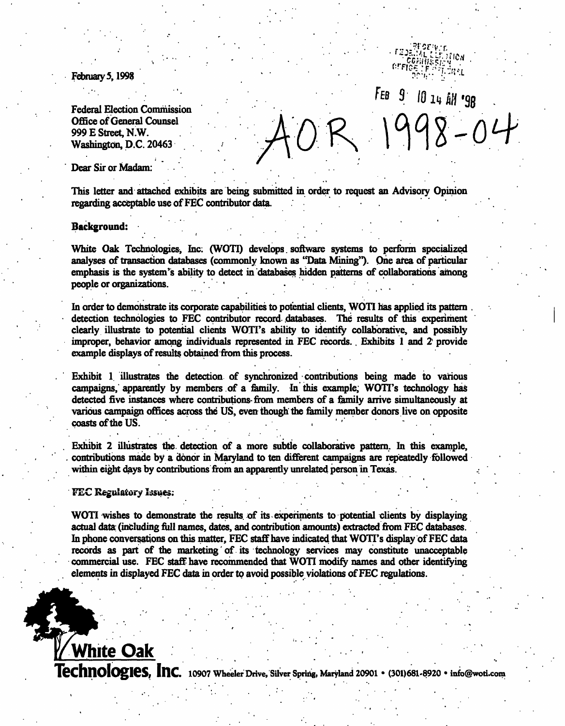February 5, 1998

Federal Election Commission Office of General Counsel 999 E Street, KW. Washington, D.C. 20463

 $FEB$   $9$ 10 14 AM '98  $998 - 04$ 

Dear Sir or Madam:

This letter and attached exhibits are being submitted in order to request an Advisory Opinion regarding acceptable use of FEC contributor data. .

### Background:

White Oak Technologies, Inc (WOTI) develops. software systems to perform specialized analyses of transaction databases (commonly known as "Data Mining"). One area of particular emphasis is the system's ability to detect in 'databases hidden patterns of collaborations among people or organizations.

In order to demonstrate its corporate capabilities to potential clients, WOTI has applied its pattern detection technologies to FEC contributor record databases. The results of this experiment clearly illustrate to potential clients WOTI's ability to identify collaborative, and possibly improper, behavior among individuals represented in FEC records.. Exhibits 1 and 2 provide example displays of results obtained from this process.

Exhibit 1. illustrates the detection of synchronized contributions being made to various campaigns, apparently by members of a family. In this example, WOTI's technology has detected five instances where contributions-from members of a family arrive simultaneously at various campaign offices across the US, even though'the family member donors live on opposite coasts of the US.

Exhibit 2 illustrates the. detection of a more subtle collaborative pattern. In this example, contributions made by a donor in Maryland to ten different campaigns are repeatedly followed within eight days by contributions from an apparently unrelated person in Texas.

### FEC Regulatory Issues:

White Oak

WOTI wishes to demonstrate the results of its experiments to potential clients by displaying actual data: (including full names, dates, and contribution amounts) extracted from FEC databases. In phone conversations on this matter, FEC staff have indicated that WOTI's display of FEC data records as part of the marketing'of. its technology services may constitute unacceptable commercial use. FEC staff have recommended that WOTI modify names and other identifying elements in displayed FEC data in order to avoid possible violations of FEC regulations.

**lechnologies, Inc.** 10907 Wheeler Drive, Silver Spring, Maryland 20901 • (301)681-8920 • info@woti.com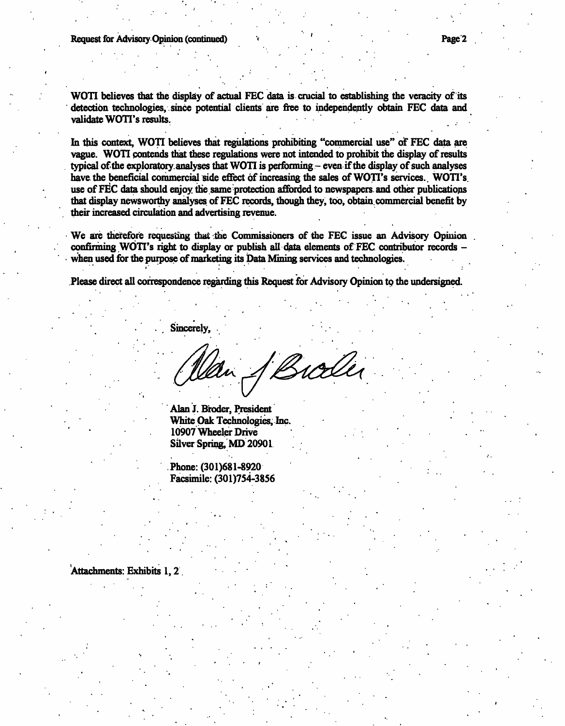WOTI believes that the display of actual FEC data is crucial to establishing the veracity of its detection technologies, since potential clients are free to independently obtain FEC data and validate WOTI's results.

In this context, WOTI believes that regulations prohibiting "commercial use" of FEC data are vague. WOTI contends that these regulations were not intended to prohibit the display of results typical of the exploratory analyses that WOTI is performing.- even if the display of such analyses have the beneficial commercial side effect of increasing the sales of WOTI's services. WOTI's use of FEC data should enjoy the same protection afforded to newspapers and other publications that display newsworthy analyses of FEC records, though they, too, obtain, commercial benefit by their increased circulation and advertising revenue.

We are therefore requesting that the Commissioners of the FEC issue an Advisory Opinion confirming WOTT's right to display or publish all data elements of FEC contributor records when used for the purpose of marketing its Data Mining services and technologies.  $\mathcal{P}$  is the set of the set of the set of the set of the set of the set of the set of the set of the set of

.Please direct all correspondence regarding this Request for Advisory Opinion to the undersigned.

Sincerely,

Broder Wan-

Alan J. Broder, President White Oak Technologies, me. 10907 Wheeler Drive Silver Spring, MD 20901

Phone:(301)681-8920 Facsimile: (301)754-3856

## 'Attachments: Exhibits 1,2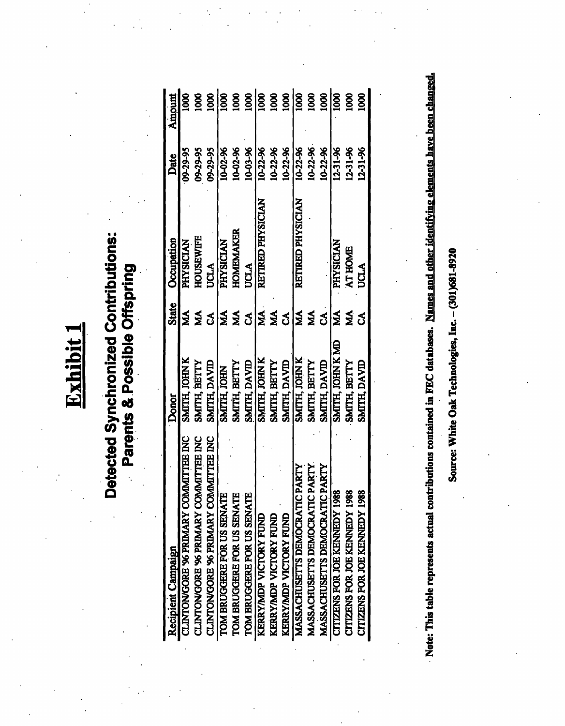Exhibit

# **Detected Synchronized Contributions:** Parents & Possible Offspring

| Recipient Campaign                       | <b>Donor</b>     | <b>State</b> | Occupation        | Date           | Amoun                       |
|------------------------------------------|------------------|--------------|-------------------|----------------|-----------------------------|
| CLINTON/GORE '96 PRIMARY COMMITTEE INC   | SMITH, JOHN K    | МA           | PHYSICIAN         | 09-29-95       | <b>SOI</b>                  |
| CLINTON/GORE '96 PRIMARY COMMITTEE INC   | SMITH, BETTY     | ŃМ           | <b>HOUSEWIFE</b>  | 09-29-95       | 800                         |
| CLINTON/GORE '96 PRIMARY COMMITTEE INC   | SMITH, DAVID     | S            | <b>UCLA</b>       | 09-29-95       | 800                         |
| TOM BRUGGERE FOR US SENATI               | SMITH, JOHN      | МA           | <b>PHYSICIAN</b>  | 10-02-96       | $\overline{\frac{1}{1000}}$ |
| TOM BRUGGERE FOR US SENATI               | SMITH, BETTY     | ŃМ           | <b>HOMEMAKER</b>  | 10-02-96       | 000                         |
| TOM BRUGGERE FOR US SENATI               | SMITH, DAVID     | రే           | UCLA              | 10-03-96       | 000                         |
| KERRYMDP VICTORY FUND                    | SMITH, JOHN K    | Ş            | RETTRED PHYSICIAN | 10-22-96       | 000                         |
| KERRY/MDP VICTORY FUND                   | SMITH, BETTY     | УW           |                   | 10-22-96       | 000                         |
| KERRYMDP VICTORY FUND                    | SMITH, DAVID     | ేచ           |                   | $10 - 22 - 96$ | 1000                        |
| PARTY<br>MASSACHUSETTS DEMOCRATIC        | SMITH, JOHN K    | ŃМ           | RETTRED PHYSICIAN | $10 - 22 - 96$ | 8                           |
| PARTY<br>MASSACHUSETTS DEMOCRATIC        | SMITH, BETTY     | ŽК           |                   | 10-22-96       | goo                         |
| PARTY<br>MASSACHUSETTS DEMOCRATIC        | SMITH, DAVID     | రే           |                   | 10-22-96       | <b>S001</b>                 |
| œ<br><b>CITIZENS FOR JOE KENNEDY 198</b> | SMITH, JOHN K MD | ŃМ           | <b>PHYSICIAN</b>  | $12 - 31 - 96$ | <b>SOOT</b>                 |
| CITIZENS FOR JOE KENNEDY 198             | SMITH, BETTY     | ŃМ           | <b>AT HOME</b>    | $12 - 31 - 96$ | 800                         |
| CITIZENS FOR JOE KENNEDY 198             | SMITH, DAVID     | నే           | <b>UCLA</b>       | $12 - 31 - 96$ | 8                           |
|                                          |                  |              |                   |                |                             |

Note: This table represents actual contributions contained in FEC databases. Names and other identifying elements have been changed.

Source: White Oak Technologies, Inc. - (301)681-8920